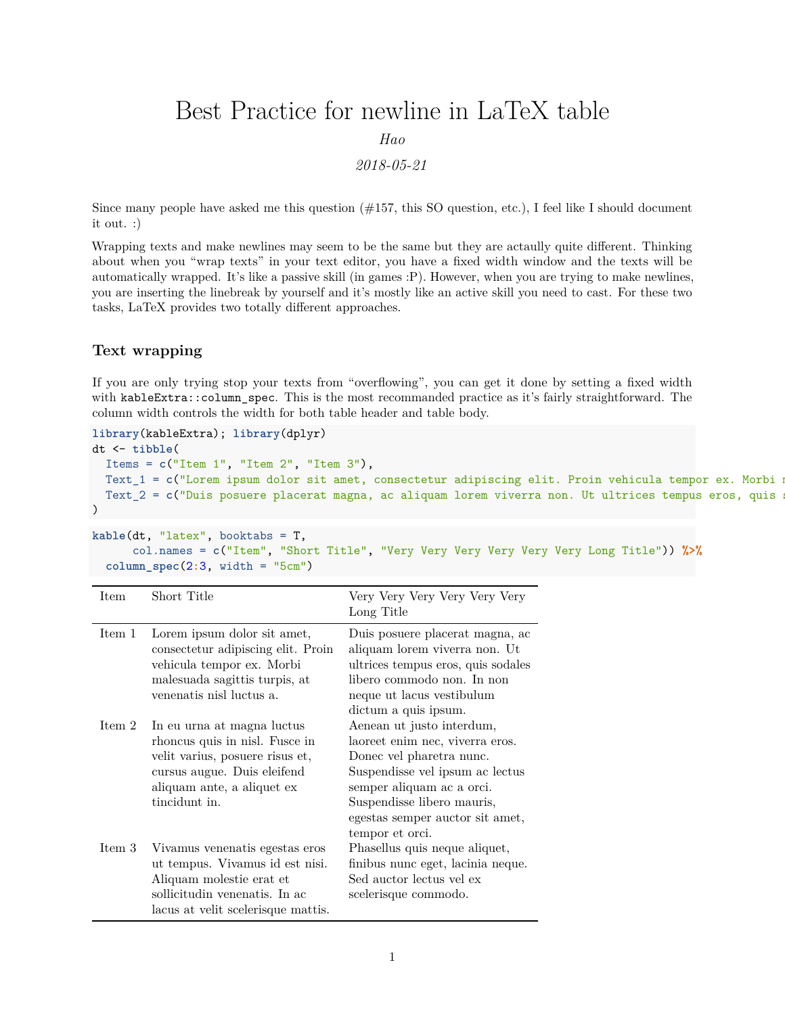# Best Practice for newline in LaTeX table

*Hao*

*2018-05-21*

Since many people have asked me this question  $(\#157, \text{ this SO question}, \text{etc.})$ , I feel like I should document it out. :)

Wrapping texts and make newlines may seem to be the same but they are actaully quite different. Thinking about when you "wrap texts" in your text editor, you have a fixed width window and the texts will be automatically wrapped. It's like a passive skill (in games :P). However, when you are trying to make newlines, you are inserting the linebreak by yourself and it's mostly like an active skill you need to cast. For these two tasks, LaTeX provides two totally different approaches.

## **Text wrapping**

If you are only trying stop your texts from "overflowing", you can get it done by setting a fixed width with kableExtra::column\_spec. This is the most recommanded practice as it's fairly straightforward. The column width controls the width for both table header and table body.

```
library(kableExtra); library(dplyr)
dt <- tibble(
 Items = c("Item 1", "Item 2", "Item 3"),
 Text_1 = c("Lorem ipsum dolor sit amet, consectetur adipiscing elit. Proin vehicula tempor ex. Morbi m
 Text<sub>2</sub> = c("Duis posuere placerat magna, ac aliquam lorem viverra non. Ut ultrices tempus eros, quis
\lambda
```

```
kable(dt, "latex", booktabs = T,
      col.names = c("Item", "Short Title", "Very Very Very Very Very Very Long Title")) %>%
 column_spec(2:3, width = "5cm")
```

| Item   | Short Title                                                                                                                                                                   | Very Very Very Very Very<br>Long Title                                                                                                                                                                                                       |
|--------|-------------------------------------------------------------------------------------------------------------------------------------------------------------------------------|----------------------------------------------------------------------------------------------------------------------------------------------------------------------------------------------------------------------------------------------|
| Item 1 | Lorem ipsum dolor sit amet,<br>consectetur adipiscing elit. Proin<br>vehicula tempor ex. Morbi<br>malesuada sagittis turpis, at<br>venenatis nisl luctus a.                   | Duis posuere placerat magna, ac<br>aliquam lorem viverra non. Ut<br>ultrices tempus eros, quis sodales<br>libero commodo non. In non<br>neque ut lacus vestibulum<br>dictum a quis ipsum.                                                    |
| Item 2 | In eu urna at magna luctus<br>rhoncus quis in nisl. Fusce in<br>velit varius, posuere risus et,<br>cursus augue. Duis eleifend<br>aliquam ante, a aliquet ex<br>tincidunt in. | Aenean ut justo interdum,<br>laoreet enim nec, viverra eros.<br>Donec vel pharetra nunc.<br>Suspendisse vel ipsum ac lectus<br>semper aliquam ac a orci.<br>Suspendisse libero mauris,<br>egestas semper auctor sit amet,<br>tempor et orci. |
| Item 3 | Vivamus venenatis egestas eros<br>ut tempus. Vivamus id est nisi.<br>Aliquam molestie erat et<br>sollicitudin venenatis. In ac<br>lacus at velit scelerisque mattis.          | Phasellus quis neque aliquet,<br>finibus nunc eget, lacinia neque.<br>Sed auctor lectus vel ex<br>scelerisque commodo.                                                                                                                       |